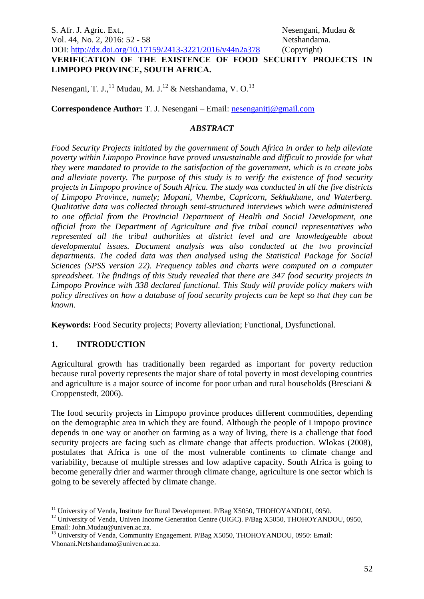# S. Afr. J. Agric. Ext., S. Agric. Ext., Nesengani, Mudau & Vol. 44, No. 2, 2016: 52 - 58 Netshandama. DOI: http://dx.doi.org/10.17159/2413-3221/2016/v44n2a378 (Copyright) **VERIFICATION OF THE EXISTENCE OF FOOD SECURITY PROJECTS IN LIMPOPO PROVINCE, SOUTH AFRICA.**

Nesengani, T. J.,<sup>11</sup> Mudau, M. J.<sup>12</sup> & Netshandama, V. O.<sup>13</sup>

**Correspondence Author:** T. J. Nesengani – Email: [nesenganitj@gmail.com](mailto:nesenganitj@gmail.com)

#### *ABSTRACT*

*Food Security Projects initiated by the government of South Africa in order to help alleviate poverty within Limpopo Province have proved unsustainable and difficult to provide for what they were mandated to provide to the satisfaction of the government, which is to create jobs and alleviate poverty. The purpose of this study is to verify the existence of food security projects in Limpopo province of South Africa. The study was conducted in all the five districts of Limpopo Province, namely; Mopani, Vhembe, Capricorn, Sekhukhune, and Waterberg. Qualitative data was collected through semi-structured interviews which were administered to one official from the Provincial Department of Health and Social Development, one official from the Department of Agriculture and five tribal council representatives who represented all the tribal authorities at district level and are knowledgeable about developmental issues. Document analysis was also conducted at the two provincial departments. The coded data was then analysed using the Statistical Package for Social Sciences (SPSS version 22). Frequency tables and charts were computed on a computer spreadsheet. The findings of this Study revealed that there are 347 food security projects in Limpopo Province with 338 declared functional. This Study will provide policy makers with policy directives on how a database of food security projects can be kept so that they can be known.*

**Keywords:** Food Security projects; Poverty alleviation; Functional, Dysfunctional.

#### **1. INTRODUCTION**

Agricultural growth has traditionally been regarded as important for poverty reduction because rural poverty represents the major share of total poverty in most developing countries and agriculture is a major source of income for poor urban and rural households (Bresciani & Croppenstedt, 2006).

The food security projects in Limpopo province produces different commodities, depending on the demographic area in which they are found. Although the people of Limpopo province depends in one way or another on farming as a way of living, there is a challenge that food security projects are facing such as climate change that affects production. Wlokas (2008), postulates that Africa is one of the most vulnerable continents to climate change and variability, because of multiple stresses and low adaptive capacity. South Africa is going to become generally drier and warmer through climate change, agriculture is one sector which is going to be severely affected by climate change.

<sup>&</sup>lt;u>.</u> <sup>11</sup> University of Venda, Institute for Rural Development. P/Bag X5050, THOHOYANDOU, 0950.

<sup>&</sup>lt;sup>12</sup> University of Venda, Univen Income Generation Centre (UIGC). P/Bag X5050, THOHOYANDOU, 0950, Email: John.Mudau@univen.ac.za.

<sup>&</sup>lt;sup>13</sup> University of Venda, Community Engagement. P/Bag X5050, THOHOYANDOU, 0950: Email: Vhonani.Netshandama@univen.ac.za.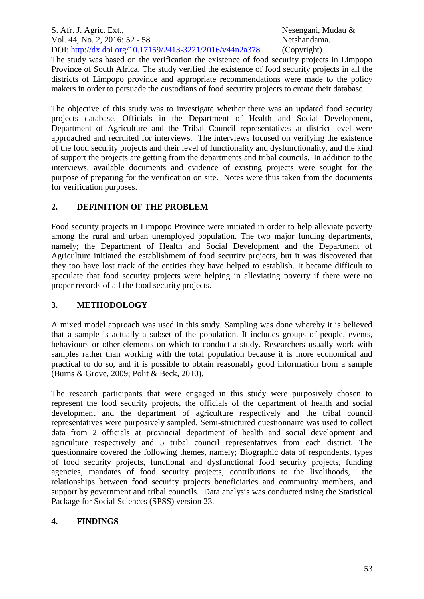S. Afr. J. Agric. Ext., S. Agric. Ext., Nesengani, Mudau & Vol. 44, No. 2, 2016: 52 - 58 Netshandama. DOI: http://dx.doi.org/10.17159/2413-3221/2016/v44n2a378 (Copyright)

The study was based on the verification the existence of food security projects in Limpopo Province of South Africa. The study verified the existence of food security projects in all the districts of Limpopo province and appropriate recommendations were made to the policy makers in order to persuade the custodians of food security projects to create their database.

The objective of this study was to investigate whether there was an updated food security projects database. Officials in the Department of Health and Social Development, Department of Agriculture and the Tribal Council representatives at district level were approached and recruited for interviews. The interviews focused on verifying the existence of the food security projects and their level of functionality and dysfunctionality, and the kind of support the projects are getting from the departments and tribal councils. In addition to the interviews, available documents and evidence of existing projects were sought for the purpose of preparing for the verification on site. Notes were thus taken from the documents for verification purposes.

# **2. DEFINITION OF THE PROBLEM**

Food security projects in Limpopo Province were initiated in order to help alleviate poverty among the rural and urban unemployed population. The two major funding departments, namely; the Department of Health and Social Development and the Department of Agriculture initiated the establishment of food security projects, but it was discovered that they too have lost track of the entities they have helped to establish. It became difficult to speculate that food security projects were helping in alleviating poverty if there were no proper records of all the food security projects.

## **3. METHODOLOGY**

A mixed model approach was used in this study. Sampling was done whereby it is believed that a sample is actually a subset of the population. It includes groups of people, events, behaviours or other elements on which to conduct a study. Researchers usually work with samples rather than working with the total population because it is more economical and practical to do so, and it is possible to obtain reasonably good information from a sample (Burns & Grove, 2009; Polit & Beck, 2010).

The research participants that were engaged in this study were purposively chosen to represent the food security projects, the officials of the department of health and social development and the department of agriculture respectively and the tribal council representatives were purposively sampled. Semi-structured questionnaire was used to collect data from 2 officials at provincial department of health and social development and agriculture respectively and 5 tribal council representatives from each district. The questionnaire covered the following themes, namely; Biographic data of respondents, types of food security projects, functional and dysfunctional food security projects, funding agencies, mandates of food security projects, contributions to the livelihoods, the relationships between food security projects beneficiaries and community members, and support by government and tribal councils. Data analysis was conducted using the Statistical Package for Social Sciences (SPSS) version 23.

# **4. FINDINGS**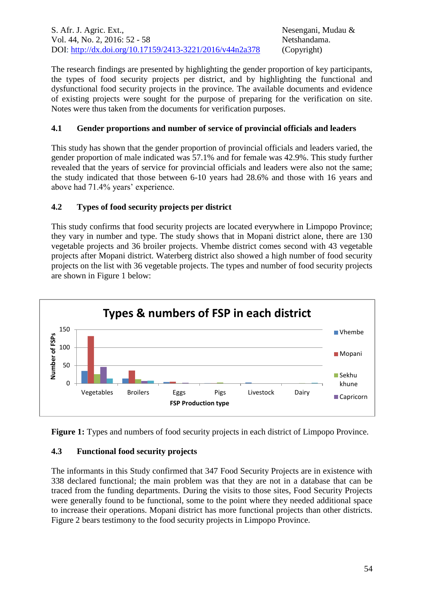S. Afr. J. Agric. Ext., S. Agric. Ext., Nesengani, Mudau & Vol. 44, No. 2, 2016: 52 - 58 Netshandama. DOI: http://dx.doi.org/10.17159/2413-3221/2016/v44n2a378 (Copyright)

The research findings are presented by highlighting the gender proportion of key participants, the types of food security projects per district, and by highlighting the functional and dysfunctional food security projects in the province. The available documents and evidence of existing projects were sought for the purpose of preparing for the verification on site. Notes were thus taken from the documents for verification purposes.

#### **4.1 Gender proportions and number of service of provincial officials and leaders**

This study has shown that the gender proportion of provincial officials and leaders varied, the gender proportion of male indicated was 57.1% and for female was 42.9%. This study further revealed that the years of service for provincial officials and leaders were also not the same; the study indicated that those between 6-10 years had 28.6% and those with 16 years and above had 71.4% years' experience.

## **4.2 Types of food security projects per district**

This study confirms that food security projects are located everywhere in Limpopo Province; they vary in number and type. The study shows that in Mopani district alone, there are 130 vegetable projects and 36 broiler projects. Vhembe district comes second with 43 vegetable projects after Mopani district. Waterberg district also showed a high number of food security projects on the list with 36 vegetable projects. The types and number of food security projects are shown in Figure 1 below:



**Figure 1:** Types and numbers of food security projects in each district of Limpopo Province.

#### **4.3 Functional food security projects**

The informants in this Study confirmed that 347 Food Security Projects are in existence with 338 declared functional; the main problem was that they are not in a database that can be traced from the funding departments. During the visits to those sites, Food Security Projects were generally found to be functional, some to the point where they needed additional space to increase their operations. Mopani district has more functional projects than other districts. Figure 2 bears testimony to the food security projects in Limpopo Province.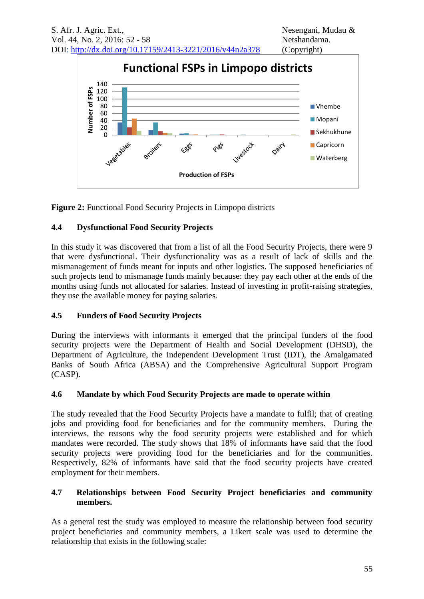

**Figure 2:** Functional Food Security Projects in Limpopo districts

# **4.4 Dysfunctional Food Security Projects**

In this study it was discovered that from a list of all the Food Security Projects, there were 9 that were dysfunctional. Their dysfunctionality was as a result of lack of skills and the mismanagement of funds meant for inputs and other logistics. The supposed beneficiaries of such projects tend to mismanage funds mainly because: they pay each other at the ends of the months using funds not allocated for salaries. Instead of investing in profit-raising strategies, they use the available money for paying salaries.

# **4.5 Funders of Food Security Projects**

During the interviews with informants it emerged that the principal funders of the food security projects were the Department of Health and Social Development (DHSD), the Department of Agriculture, the Independent Development Trust (IDT), the Amalgamated Banks of South Africa (ABSA) and the Comprehensive Agricultural Support Program (CASP).

# **4.6 Mandate by which Food Security Projects are made to operate within**

The study revealed that the Food Security Projects have a mandate to fulfil; that of creating jobs and providing food for beneficiaries and for the community members. During the interviews, the reasons why the food security projects were established and for which mandates were recorded. The study shows that 18% of informants have said that the food security projects were providing food for the beneficiaries and for the communities. Respectively, 82% of informants have said that the food security projects have created employment for their members.

## **4.7 Relationships between Food Security Project beneficiaries and community members.**

As a general test the study was employed to measure the relationship between food security project beneficiaries and community members, a Likert scale was used to determine the relationship that exists in the following scale: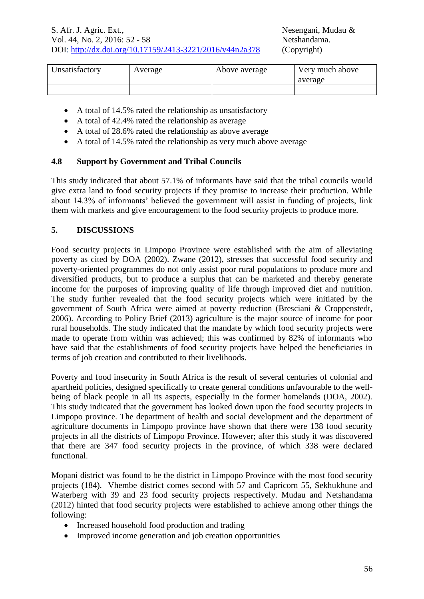| Unsatisfactory | Average | Above average | Very much above |
|----------------|---------|---------------|-----------------|
|                |         |               | average         |
|                |         |               |                 |

- A total of 14.5% rated the relationship as unsatisfactory
- A total of 42.4% rated the relationship as average
- A total of 28.6% rated the relationship as above average
- A total of 14.5% rated the relationship as very much above average

## **4.8 Support by Government and Tribal Councils**

This study indicated that about 57.1% of informants have said that the tribal councils would give extra land to food security projects if they promise to increase their production. While about 14.3% of informants' believed the government will assist in funding of projects, link them with markets and give encouragement to the food security projects to produce more.

## **5. DISCUSSIONS**

Food security projects in Limpopo Province were established with the aim of alleviating poverty as cited by DOA (2002). Zwane (2012), stresses that successful food security and poverty-oriented programmes do not only assist poor rural populations to produce more and diversified products, but to produce a surplus that can be marketed and thereby generate income for the purposes of improving quality of life through improved diet and nutrition. The study further revealed that the food security projects which were initiated by the government of South Africa were aimed at poverty reduction (Bresciani & Croppenstedt, 2006). According to Policy Brief (2013) agriculture is the major source of income for poor rural households. The study indicated that the mandate by which food security projects were made to operate from within was achieved; this was confirmed by 82% of informants who have said that the establishments of food security projects have helped the beneficiaries in terms of job creation and contributed to their livelihoods.

Poverty and food insecurity in South Africa is the result of several centuries of colonial and apartheid policies, designed specifically to create general conditions unfavourable to the wellbeing of black people in all its aspects, especially in the former homelands (DOA, 2002). This study indicated that the government has looked down upon the food security projects in Limpopo province. The department of health and social development and the department of agriculture documents in Limpopo province have shown that there were 138 food security projects in all the districts of Limpopo Province. However; after this study it was discovered that there are 347 food security projects in the province, of which 338 were declared functional.

Mopani district was found to be the district in Limpopo Province with the most food security projects (184). Vhembe district comes second with 57 and Capricorn 55, Sekhukhune and Waterberg with 39 and 23 food security projects respectively. Mudau and Netshandama (2012) hinted that food security projects were established to achieve among other things the following:

- Increased household food production and trading
- Improved income generation and job creation opportunities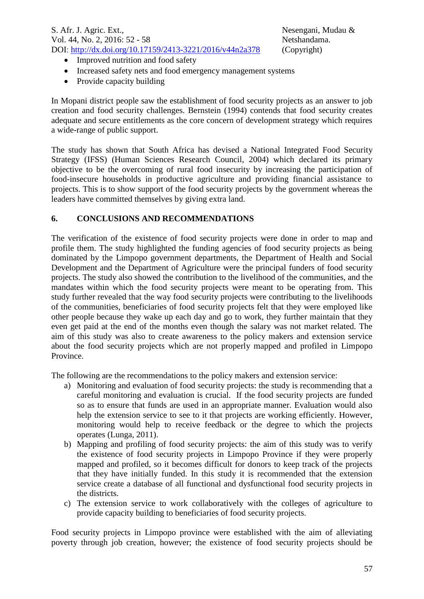- Improved nutrition and food safety
- Increased safety nets and food emergency management systems
- Provide capacity building

In Mopani district people saw the establishment of food security projects as an answer to job creation and food security challenges. Bernstein (1994) contends that food security creates adequate and secure entitlements as the core concern of development strategy which requires a wide-range of public support.

The study has shown that South Africa has devised a National Integrated Food Security Strategy (IFSS) (Human Sciences Research Council, 2004) which declared its primary objective to be the overcoming of rural food insecurity by increasing the participation of food-insecure households in productive agriculture and providing financial assistance to projects. This is to show support of the food security projects by the government whereas the leaders have committed themselves by giving extra land.

## **6. CONCLUSIONS AND RECOMMENDATIONS**

The verification of the existence of food security projects were done in order to map and profile them. The study highlighted the funding agencies of food security projects as being dominated by the Limpopo government departments, the Department of Health and Social Development and the Department of Agriculture were the principal funders of food security projects. The study also showed the contribution to the livelihood of the communities, and the mandates within which the food security projects were meant to be operating from. This study further revealed that the way food security projects were contributing to the livelihoods of the communities, beneficiaries of food security projects felt that they were employed like other people because they wake up each day and go to work, they further maintain that they even get paid at the end of the months even though the salary was not market related. The aim of this study was also to create awareness to the policy makers and extension service about the food security projects which are not properly mapped and profiled in Limpopo Province.

The following are the recommendations to the policy makers and extension service:

- a) Monitoring and evaluation of food security projects: the study is recommending that a careful monitoring and evaluation is crucial. If the food security projects are funded so as to ensure that funds are used in an appropriate manner. Evaluation would also help the extension service to see to it that projects are working efficiently. However, monitoring would help to receive feedback or the degree to which the projects operates (Lunga, 2011).
- b) Mapping and profiling of food security projects: the aim of this study was to verify the existence of food security projects in Limpopo Province if they were properly mapped and profiled, so it becomes difficult for donors to keep track of the projects that they have initially funded. In this study it is recommended that the extension service create a database of all functional and dysfunctional food security projects in the districts.
- c) The extension service to work collaboratively with the colleges of agriculture to provide capacity building to beneficiaries of food security projects.

Food security projects in Limpopo province were established with the aim of alleviating poverty through job creation, however; the existence of food security projects should be